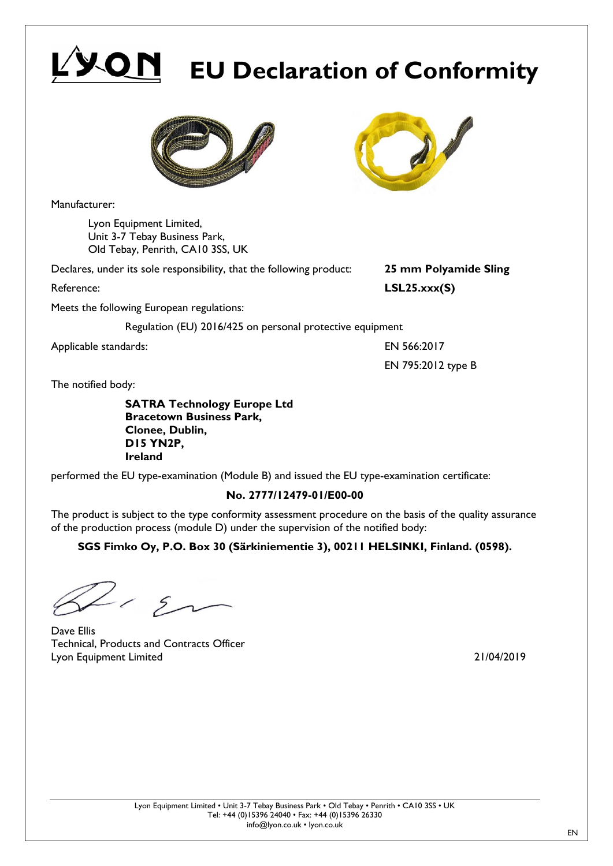# **EU Declaration of Conformity**



Manufacturer:

Lyon Equipment Limited, Unit 3-7 Tebay Business Park, Old Tebay, Penrith, CA10 3SS, UK

Declares, under its sole responsibility, that the following product: **25 mm Polyamide Sling**

Meets the following European regulations:

Regulation (EU) 2016/425 on personal protective equipment

Applicable standards: EN 566:2017

Reference: **LSL25.xxx(S)** 

EN 795:2012 type B

The notified body:

**SATRA Technology Europe Ltd Bracetown Business Park, Clonee, Dublin, D15 YN2P, Ireland** 

performed the EU type-examination (Module B) and issued the EU type-examination certificate:

## **No. 2777/12479-01/E00-00**

The product is subject to the type conformity assessment procedure on the basis of the quality assurance of the production process (module D) under the supervision of the notified body:

**SGS Fimko Oy, P.O. Box 30 (Särkiniementie 3), 00211 HELSINKI, Finland. (0598).** 

 $215$ 

Dave Ellis Technical, Products and Contracts Officer Lyon Equipment Limited 21/04/2019

EN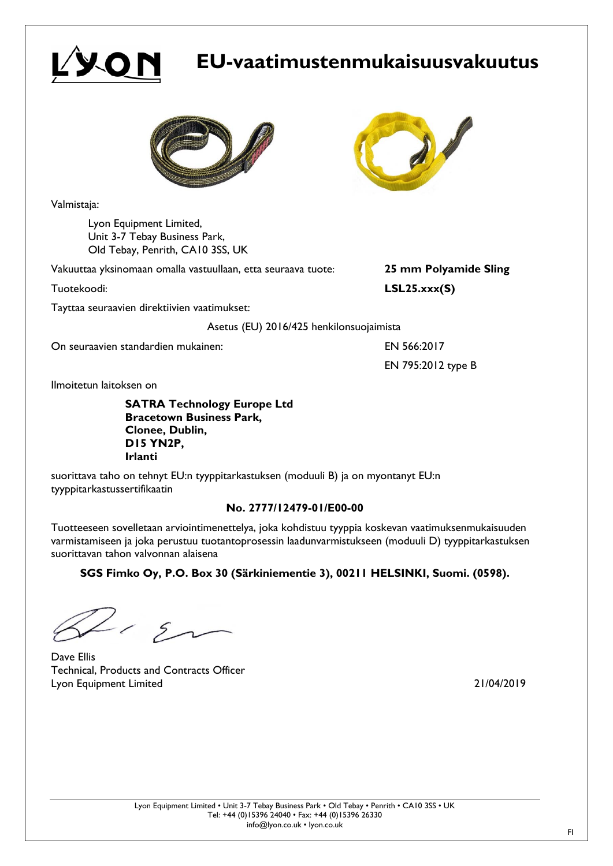## **EU-vaatimustenmukaisuusvakuutus**



Valmistaja:

Lyon Equipment Limited, Unit 3-7 Tebay Business Park, Old Tebay, Penrith, CA10 3SS, UK

Vakuuttaa yksinomaan omalla vastuullaan, etta seuraava tuote: **25 mm Polyamide Sling**

Tayttaa seuraavien direktiivien vaatimukset:

Tuotekoodi: **LSL25.xxx(S)**

Asetus (EU) 2016/425 henkilonsuojaimista

On seuraavien standardien mukainen: EN 566:2017

EN 795:2012 type B

Ilmoitetun laitoksen on

**SATRA Technology Europe Ltd Bracetown Business Park, Clonee, Dublin, D15 YN2P, Irlanti** 

suorittava taho on tehnyt EU:n tyyppitarkastuksen (moduuli B) ja on myontanyt EU:n tyyppitarkastussertifikaatin

## **No. 2777/12479-01/E00-00**

Tuotteeseen sovelletaan arviointimenettelya, joka kohdistuu tyyppia koskevan vaatimuksenmukaisuuden varmistamiseen ja joka perustuu tuotantoprosessin laadunvarmistukseen (moduuli D) tyyppitarkastuksen suorittavan tahon valvonnan alaisena

**SGS Fimko Oy, P.O. Box 30 (Särkiniementie 3), 00211 HELSINKI, Suomi. (0598).** 

 $212$ 

Dave Ellis Technical, Products and Contracts Officer Lyon Equipment Limited 21/04/2019

FI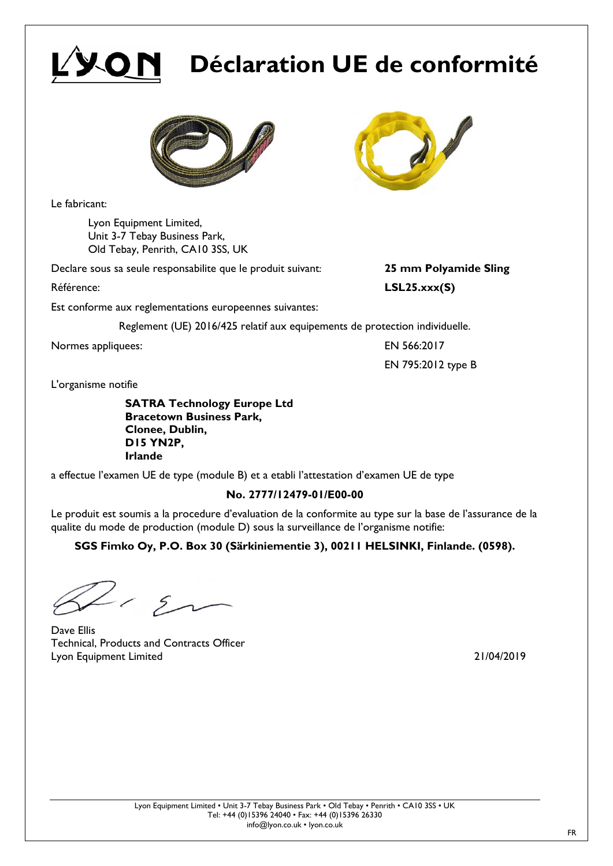# **Déclaration UE de conformité**



Le fabricant:

Lyon Equipment Limited, Unit 3-7 Tebay Business Park, Old Tebay, Penrith, CA10 3SS, UK

Declare sous sa seule responsabilite que le produit suivant: **25 mm Polyamide Sling**

Est conforme aux reglementations europeennes suivantes:

Référence: **LSL25.xxx(S)**

Reglement (UE) 2016/425 relatif aux equipements de protection individuelle.

Normes appliquees: EN 566:2017

EN 795:2012 type B

L'organisme notifie

**SATRA Technology Europe Ltd Bracetown Business Park, Clonee, Dublin, D15 YN2P, Irlande** 

a effectue l'examen UE de type (module B) et a etabli l'attestation d'examen UE de type

## **No. 2777/12479-01/E00-00**

Le produit est soumis a la procedure d'evaluation de la conformite au type sur la base de l'assurance de la qualite du mode de production (module D) sous la surveillance de l'organisme notifie:

**SGS Fimko Oy, P.O. Box 30 (Särkiniementie 3), 00211 HELSINKI, Finlande. (0598).** 

 $-15$ 

Dave Ellis Technical, Products and Contracts Officer Lyon Equipment Limited 21/04/2019

FR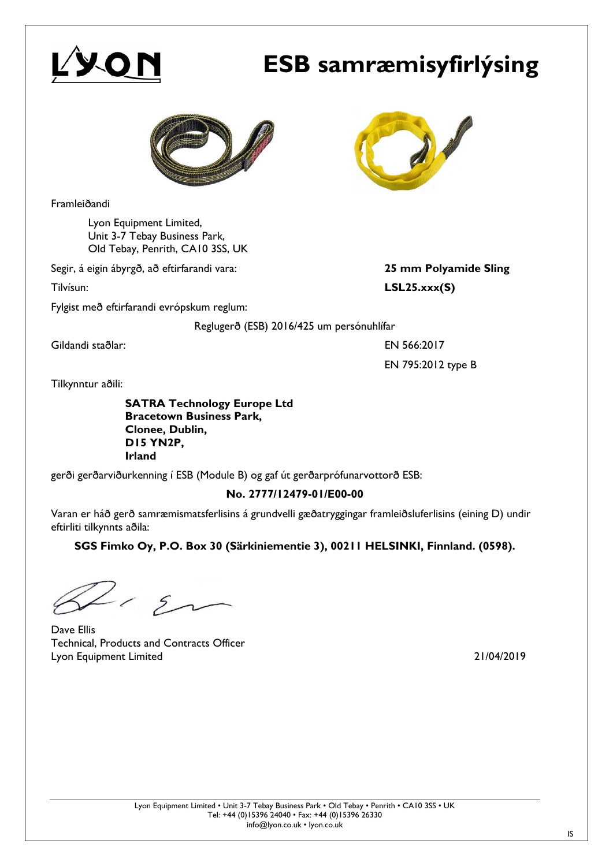# **ESB samræmisyfirlýsing**



Framleiðandi

Lyon Equipment Limited, Unit 3-7 Tebay Business Park, Old Tebay, Penrith, CA10 3SS, UK

Segir, á eigin ábyrgð, að eftirfarandi vara: **25 mm Polyamide Sling**

Fylgist með eftirfarandi evrópskum reglum:

Tilvísun: **LSL25.xxx(S)**

Reglugerð (ESB) 2016/425 um persónuhlífar

Gildandi staðlar: EN 566:2017

EN 795:2012 type B

Tilkynntur aðili:

**SATRA Technology Europe Ltd Bracetown Business Park, Clonee, Dublin, D15 YN2P, Irland** 

gerði gerðarviðurkenning í ESB (Module B) og gaf út gerðarprófunarvottorð ESB:

## **No. 2777/12479-01/E00-00**

Varan er háð gerð samræmismatsferlisins á grundvelli gæðatryggingar framleiðsluferlisins (eining D) undir eftirliti tilkynnts aðila:

**SGS Fimko Oy, P.O. Box 30 (Särkiniementie 3), 00211 HELSINKI, Finnland. (0598).** 

 $-15$ 

Dave Ellis Technical, Products and Contracts Officer Lyon Equipment Limited 21/04/2019

IS